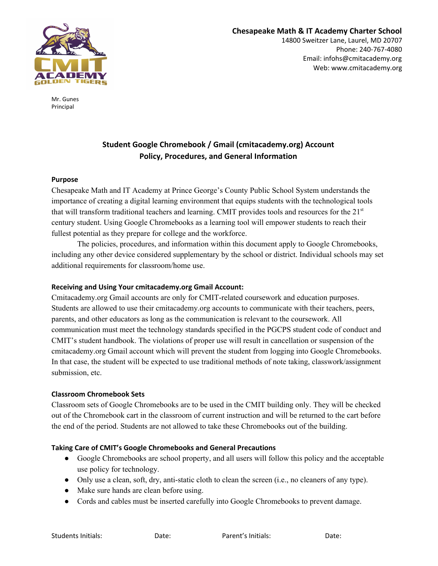

14800 Sweitzer Lane, Laurel, MD 20707 Phone: 240-767-4080 Email: infohs@cmitacademy.org Web: www.cmitacademy.org

Mr. Gunes Principal

# **Student Google Chromebook / Gmail (cmitacademy.org) Account Policy, Procedures, and General Information**

## **Purpose**

Chesapeake Math and IT Academy at Prince George's County Public School System understands the importance of creating a digital learning environment that equips students with the technological tools that will transform traditional teachers and learning. CMIT provides tools and resources for the 21<sup>st</sup> century student. Using Google Chromebooks as a learning tool will empower students to reach their fullest potential as they prepare for college and the workforce.

The policies, procedures, and information within this document apply to Google Chromebooks, including any other device considered supplementary by the school or district. Individual schools may set additional requirements for classroom/home use.

## **Receiving and Using Your cmitacademy.org Gmail Account:**

Cmitacademy.org Gmail accounts are only for CMIT-related coursework and education purposes. Students are allowed to use their cmitacademy.org accounts to communicate with their teachers, peers, parents, and other educators as long as the communication is relevant to the coursework. All communication must meet the technology standards specified in the PGCPS student code of conduct and CMIT's student handbook. The violations of proper use will result in cancellation or suspension of the cmitacademy.org Gmail account which will prevent the student from logging into Google Chromebooks. In that case, the student will be expected to use traditional methods of note taking, classwork/assignment submission, etc.

#### **Classroom Chromebook Sets**

Classroom sets of Google Chromebooks are to be used in the CMIT building only. They will be checked out of the Chromebook cart in the classroom of current instruction and will be returned to the cart before the end of the period. Students are not allowed to take these Chromebooks out of the building.

# **Taking Care of CMIT's Google Chromebooks and General Precautions**

- Google Chromebooks are school property, and all users will follow this policy and the acceptable use policy for technology.
- Only use a clean, soft, dry, anti-static cloth to clean the screen (i.e., no cleaners of any type).
- Make sure hands are clean before using.
- Cords and cables must be inserted carefully into Google Chromebooks to prevent damage.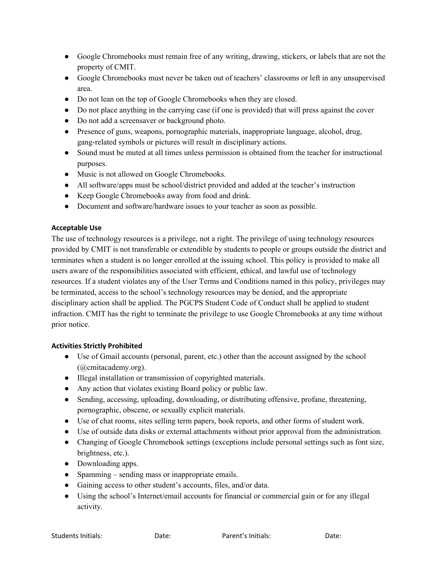- Google Chromebooks must remain free of any writing, drawing, stickers, or labels that are not the property of CMIT.
- Google Chromebooks must never be taken out of teachers' classrooms or left in any unsupervised area.
- Do not lean on the top of Google Chromebooks when they are closed.
- Do not place anything in the carrying case (if one is provided) that will press against the cover
- Do not add a screensaver or background photo.
- Presence of guns, weapons, pornographic materials, inappropriate language, alcohol, drug, gang-related symbols or pictures will result in disciplinary actions.
- Sound must be muted at all times unless permission is obtained from the teacher for instructional purposes.
- Music is not allowed on Google Chromebooks.
- All software/apps must be school/district provided and added at the teacher's instruction
- Keep Google Chromebooks away from food and drink.
- Document and software/hardware issues to your teacher as soon as possible.

## **Acceptable Use**

The use of technology resources is a privilege, not a right. The privilege of using technology resources provided by CMIT is not transferable or extendible by students to people or groups outside the district and terminates when a student is no longer enrolled at the issuing school. This policy is provided to make all users aware of the responsibilities associated with efficient, ethical, and lawful use of technology resources. If a student violates any of the User Terms and Conditions named in this policy, privileges may be terminated, access to the school's technology resources may be denied, and the appropriate disciplinary action shall be applied. The PGCPS Student Code of Conduct shall be applied to student infraction. CMIT has the right to terminate the privilege to use Google Chromebooks at any time without prior notice.

# **Activities Strictly Prohibited**

- Use of Gmail accounts (personal, parent, etc.) other than the account assigned by the school (@cmitacademy.org).
- Illegal installation or transmission of copyrighted materials.
- Any action that violates existing Board policy or public law.
- Sending, accessing, uploading, downloading, or distributing offensive, profane, threatening, pornographic, obscene, or sexually explicit materials.
- Use of chat rooms, sites selling term papers, book reports, and other forms of student work.
- Use of outside data disks or external attachments without prior approval from the administration.
- Changing of Google Chromebook settings (exceptions include personal settings such as font size, brightness, etc.).
- Downloading apps.
- Spamming sending mass or inappropriate emails.
- Gaining access to other student's accounts, files, and/or data.
- Using the school's Internet/email accounts for financial or commercial gain or for any illegal activity.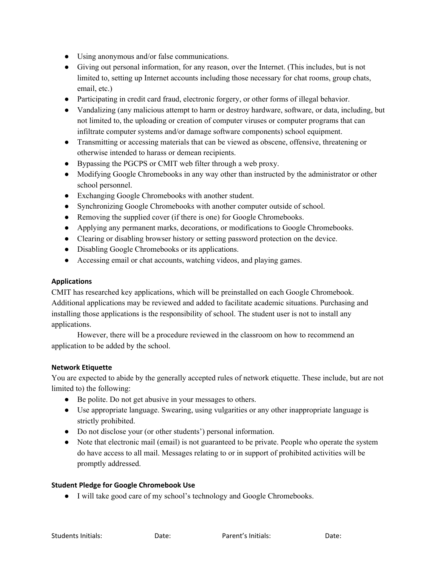- Using anonymous and/or false communications.
- Giving out personal information, for any reason, over the Internet. (This includes, but is not limited to, setting up Internet accounts including those necessary for chat rooms, group chats, email, etc.)
- Participating in credit card fraud, electronic forgery, or other forms of illegal behavior.
- Vandalizing (any malicious attempt to harm or destroy hardware, software, or data, including, but not limited to, the uploading or creation of computer viruses or computer programs that can infiltrate computer systems and/or damage software components) school equipment.
- Transmitting or accessing materials that can be viewed as obscene, offensive, threatening or otherwise intended to harass or demean recipients.
- Bypassing the PGCPS or CMIT web filter through a web proxy.
- Modifying Google Chromebooks in any way other than instructed by the administrator or other school personnel.
- Exchanging Google Chromebooks with another student.
- Synchronizing Google Chromebooks with another computer outside of school.
- Removing the supplied cover (if there is one) for Google Chromebooks.
- Applying any permanent marks, decorations, or modifications to Google Chromebooks.
- Clearing or disabling browser history or setting password protection on the device.
- Disabling Google Chromebooks or its applications.
- Accessing email or chat accounts, watching videos, and playing games.

## **Applications**

CMIT has researched key applications, which will be preinstalled on each Google Chromebook. Additional applications may be reviewed and added to facilitate academic situations. Purchasing and installing those applications is the responsibility of school. The student user is not to install any applications.

However, there will be a procedure reviewed in the classroom on how to recommend an application to be added by the school.

#### **Network Etiquette**

You are expected to abide by the generally accepted rules of network etiquette. These include, but are not limited to) the following:

- Be polite. Do not get abusive in your messages to others.
- Use appropriate language. Swearing, using vulgarities or any other inappropriate language is strictly prohibited.
- Do not disclose your (or other students') personal information.
- Note that electronic mail (email) is not guaranteed to be private. People who operate the system do have access to all mail. Messages relating to or in support of prohibited activities will be promptly addressed.

#### **Student Pledge for Google Chromebook Use**

● I will take good care of my school's technology and Google Chromebooks.